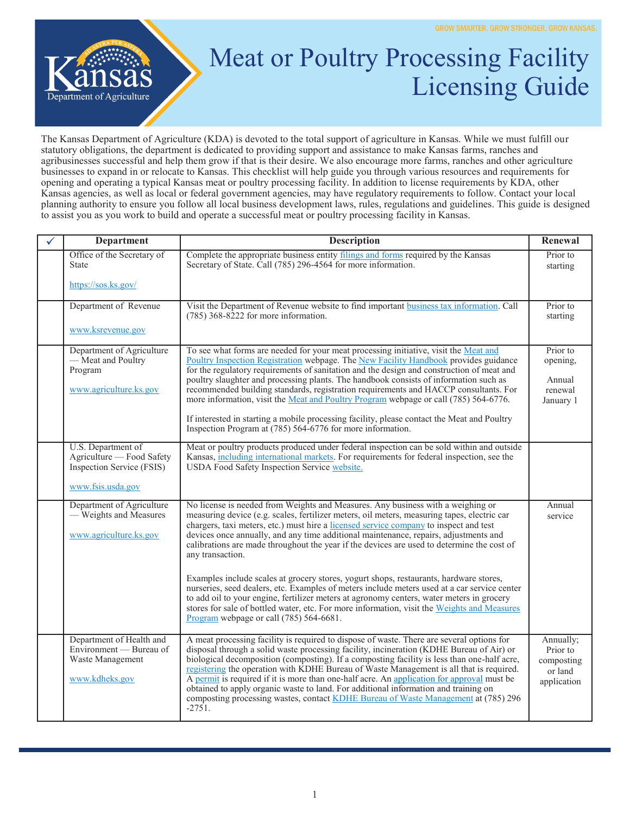

## Meat or Poultry Processing Facility Licensing Guide

The Kansas Department of Agriculture (KDA) is devoted to the total support of agriculture in Kansas. While we must fulfill our statutory obligations, the department is dedicated to providing support and assistance to make Kansas farms, ranches and agribusinesses successful and help them grow if that is their desire. We also encourage more farms, ranches and other agriculture businesses to expand in or relocate to Kansas. This checklist will help guide you through various resources and requirements for opening and operating a typical Kansas meat or poultry processing facility. In addition to license requirements by KDA, other Kansas agencies, as well as local or federal government agencies, may have regulatory requirements to follow. Contact your local planning authority to ensure you follow all local business development laws, rules, regulations and guidelines. This guide is designed to assist you as you work to build and operate a successful meat or poultry processing facility in Kansas.

| <b>Department</b>                                                                                 | <b>Description</b>                                                                                                                                                                                                                                                                                                                                                                                                                                                                                                                                                                                                                                                                                                                                                                                                                                                                                                 | Renewal                                                       |
|---------------------------------------------------------------------------------------------------|--------------------------------------------------------------------------------------------------------------------------------------------------------------------------------------------------------------------------------------------------------------------------------------------------------------------------------------------------------------------------------------------------------------------------------------------------------------------------------------------------------------------------------------------------------------------------------------------------------------------------------------------------------------------------------------------------------------------------------------------------------------------------------------------------------------------------------------------------------------------------------------------------------------------|---------------------------------------------------------------|
| Office of the Secretary of<br><b>State</b>                                                        | Complete the appropriate business entity filings and forms required by the Kansas<br>Secretary of State. Call (785) 296-4564 for more information.                                                                                                                                                                                                                                                                                                                                                                                                                                                                                                                                                                                                                                                                                                                                                                 | Prior to<br>starting                                          |
| https://sos.ks.gov/                                                                               |                                                                                                                                                                                                                                                                                                                                                                                                                                                                                                                                                                                                                                                                                                                                                                                                                                                                                                                    |                                                               |
| Department of Revenue                                                                             | Visit the Department of Revenue website to find important business tax information. Call<br>$(785)$ 368-8222 for more information.                                                                                                                                                                                                                                                                                                                                                                                                                                                                                                                                                                                                                                                                                                                                                                                 | Prior to<br>starting                                          |
| www.ksrevenue.gov                                                                                 |                                                                                                                                                                                                                                                                                                                                                                                                                                                                                                                                                                                                                                                                                                                                                                                                                                                                                                                    |                                                               |
| Department of Agriculture<br>- Meat and Poultry<br>Program<br>www.agriculture.ks.gov              | To see what forms are needed for your meat processing initiative, visit the Meat and<br>Poultry Inspection Registration webpage. The New Facility Handbook provides guidance<br>for the regulatory requirements of sanitation and the design and construction of meat and<br>poultry slaughter and processing plants. The handbook consists of information such as<br>recommended building standards, registration requirements and HACCP consultants. For<br>more information, visit the Meat and Poultry Program webpage or call (785) 564-6776.<br>If interested in starting a mobile processing facility, please contact the Meat and Poultry<br>Inspection Program at (785) 564-6776 for more information.                                                                                                                                                                                                    | Prior to<br>opening,<br>Annual<br>renewal<br>January 1        |
| U.S. Department of<br>Agriculture - Food Safety<br>Inspection Service (FSIS)<br>www.fsis.usda.gov | Meat or poultry products produced under federal inspection can be sold within and outside<br>Kansas, including international markets. For requirements for federal inspection, see the<br>USDA Food Safety Inspection Service website.                                                                                                                                                                                                                                                                                                                                                                                                                                                                                                                                                                                                                                                                             |                                                               |
| Department of Agriculture<br>- Weights and Measures<br>www.agriculture.ks.gov                     | No license is needed from Weights and Measures. Any business with a weighing or<br>measuring device (e.g. scales, fertilizer meters, oil meters, measuring tapes, electric car<br>chargers, taxi meters, etc.) must hire a licensed service company to inspect and test<br>devices once annually, and any time additional maintenance, repairs, adjustments and<br>calibrations are made throughout the year if the devices are used to determine the cost of<br>any transaction.<br>Examples include scales at grocery stores, yogurt shops, restaurants, hardware stores,<br>nurseries, seed dealers, etc. Examples of meters include meters used at a car service center<br>to add oil to your engine, fertilizer meters at agronomy centers, water meters in grocery<br>stores for sale of bottled water, etc. For more information, visit the Weights and Measures<br>Program webpage or call (785) 564-6681. | Annual<br>service                                             |
| Department of Health and<br>Environment — Bureau of<br>Waste Management<br>www.kdheks.gov         | A meat processing facility is required to dispose of waste. There are several options for<br>disposal through a solid waste processing facility, incineration (KDHE Bureau of Air) or<br>biological decomposition (composting). If a composting facility is less than one-half acre,<br>registering the operation with KDHE Bureau of Waste Management is all that is required.<br>A permit is required if it is more than one-half acre. An application for approval must be<br>obtained to apply organic waste to land. For additional information and training on<br>composting processing wastes, contact KDHE Bureau of Waste Management at (785) 296<br>$-2751.$                                                                                                                                                                                                                                             | Annually;<br>Prior to<br>composting<br>or land<br>application |